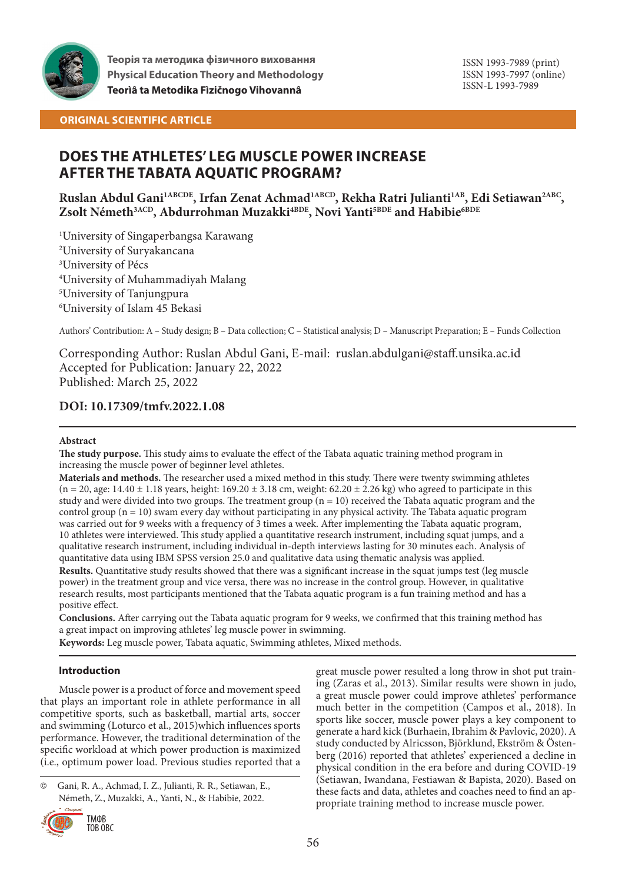

**Теорія та методика фізичного виховання Physical Education Theory and Methodology Teorìâ ta Metodika Fìzičnogo Vihovannâ**

ISSN 1993-7989 (print) ISSN 1993-7997 (online) ISSN-L 1993-7989

## **ORIGINAL SCIENTIFIC ARTICLE**

# **DOES THE ATHLETES' LEG MUSCLE POWER INCREASE AFTER THE TABATA AQUATIC PROGRAM?**

**Ruslan Abdul Gani1ABCDE, Irfan Zenat Achmad1ABCD, Rekha Ratri Julianti1AB, Edi Setiawan2ABC,**  Zsolt Németh<sup>3ACD</sup>, Abdurrohman Muzakki<sup>4BDE</sup>, Novi Yanti<sup>5BDE</sup> and Habibie<sup>6BDE</sup>

 University of Singaperbangsa Karawang University of Suryakancana University of Pécs University of Muhammadiyah Malang University of Tanjungpura University of Islam 45 Bekasi

Authors' Contribution: A – Study design; B – Data collection; C – Statistical analysis; D – Manuscript Preparation; E – Funds Collection

Corresponding Author: Ruslan Abdul Gani, E-mail: ruslan.abdulgani@staff.unsika.ac.id Accepted for Publication: January 22, 2022 Published: March 25, 2022

## **DOI: 10.17309/tmfv.2022.1.08**

### **Abstract**

**The study purpose.** This study aims to evaluate the effect of the Tabata aquatic training method program in increasing the muscle power of beginner level athletes.

**Materials and methods.** The researcher used a mixed method in this study. There were twenty swimming athletes  $(n = 20, age: 14.40 \pm 1.18 \text{ years}, height: 169.20 \pm 3.18 \text{ cm}, weight: 62.20 \pm 2.26 \text{ kg})$  who agreed to participate in this study and were divided into two groups. The treatment group  $(n = 10)$  received the Tabata aquatic program and the control group  $(n = 10)$  swam every day without participating in any physical activity. The Tabata aquatic program was carried out for 9 weeks with a frequency of 3 times a week. After implementing the Tabata aquatic program, 10 athletes were interviewed. This study applied a quantitative research instrument, including squat jumps, and a qualitative research instrument, including individual in-depth interviews lasting for 30 minutes each. Analysis of quantitative data using IBM SPSS version 25.0 and qualitative data using thematic analysis was applied.

**Results.** Quantitative study results showed that there was a significant increase in the squat jumps test (leg muscle power) in the treatment group and vice versa, there was no increase in the control group. However, in qualitative research results, most participants mentioned that the Tabata aquatic program is a fun training method and has a positive effect.

**Conclusions.** After carrying out the Tabata aquatic program for 9 weeks, we confirmed that this training method has a great impact on improving athletes' leg muscle power in swimming.

**Keywords:** Leg muscle power, Tabata aquatic, Swimming athletes, Mixed methods.

## **Introduction**

Muscle power is a product of force and movement speed that plays an important role in athlete performance in all competitive sports, such as basketball, martial arts, soccer and swimming (Loturco et al., 2015)which influences sports performance. However, the traditional determination of the specific workload at which power production is maximized (i.e., optimum power load. Previous studies reported that a

<sup>©</sup> Gani, R. A., Achmad, I. Z., Julianti, R. R., Setiawan, E., Németh, Z., Muzakki, A., Yanti, N., & Habibie, 2022.



great muscle power resulted a long throw in shot put training (Zaras et al., 2013). Similar results were shown in judo, a great muscle power could improve athletes' performance much better in the competition (Campos et al., 2018). In sports like soccer, muscle power plays a key component to generate a hard kick (Burhaein, Ibrahim & Pavlovic, 2020). A study conducted by Alricsson, Björklund, Ekström & Östenberg (2016) reported that athletes' experienced a decline in physical condition in the era before and during COVID-19 (Setiawan, Iwandana, Festiawan & Bapista, 2020). Based on these facts and data, athletes and coaches need to find an appropriate training method to increase muscle power.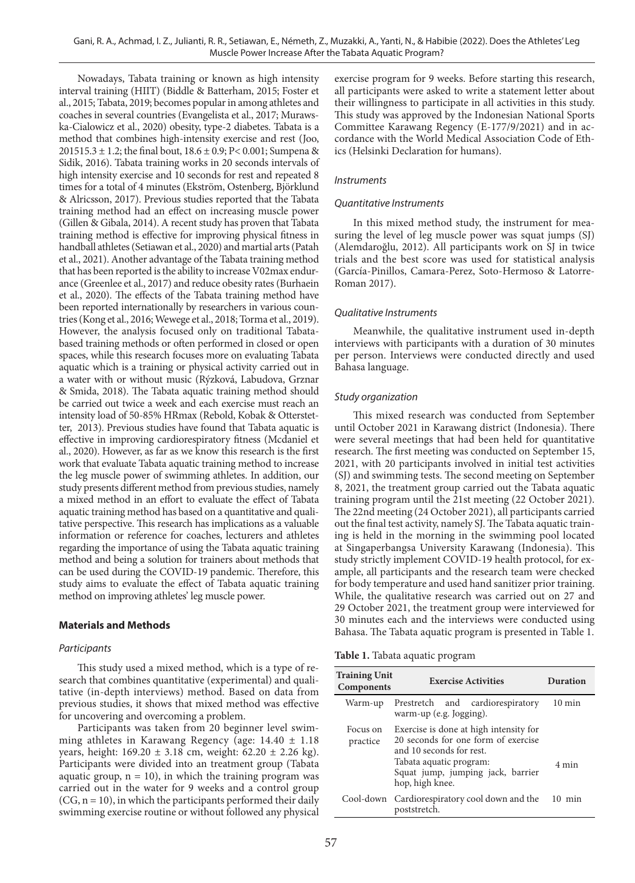Nowadays, Tabata training or known as high intensity interval training (HIIT) (Biddle & Batterham, 2015; Foster et al., 2015; Tabata, 2019; becomes popular in among athletes and coaches in several countries (Evangelista et al., 2017; Murawska-Cialowicz et al., 2020) obesity, type-2 diabetes. Tabata is a method that combines high-intensity exercise and rest (Joo, 201515.3 ± 1.2; the final bout, 18.6 ± 0.9; P< 0.001; Sumpena & Sidik, 2016). Tabata training works in 20 seconds intervals of high intensity exercise and 10 seconds for rest and repeated 8 times for a total of 4 minutes (Ekström, Ostenberg, Björklund & Alricsson, 2017). Previous studies reported that the Tabata training method had an effect on increasing muscle power (Gillen & Gibala, 2014). A recent study has proven that Tabata training method is effective for improving physical fitness in handball athletes (Setiawan et al., 2020) and martial arts (Patah et al., 2021). Another advantage of the Tabata training method that has been reported is the ability to increase V02max endurance (Greenlee et al., 2017) and reduce obesity rates (Burhaein et al., 2020). The effects of the Tabata training method have been reported internationally by researchers in various countries (Kong et al., 2016; Wewege et al., 2018; Torma et al., 2019). However, the analysis focused only on traditional Tabatabased training methods or often performed in closed or open spaces, while this research focuses more on evaluating Tabata aquatic which is a training or physical activity carried out in a water with or without music (Rýzková, Labudova, Grznar & Smida, 2018). The Tabata aquatic training method should be carried out twice a week and each exercise must reach an intensity load of 50-85% HRmax (Rebold, Kobak & Otterstetter, 2013). Previous studies have found that Tabata aquatic is effective in improving cardiorespiratory fitness (Mcdaniel et al., 2020). However, as far as we know this research is the first work that evaluate Tabata aquatic training method to increase the leg muscle power of swimming athletes. In addition, our study presents different method from previous studies, namely a mixed method in an effort to evaluate the effect of Tabata aquatic training method has based on a quantitative and qualitative perspective. This research has implications as a valuable information or reference for coaches, lecturers and athletes regarding the importance of using the Tabata aquatic training method and being a solution for trainers about methods that can be used during the COVID-19 pandemic. Therefore, this study aims to evaluate the effect of Tabata aquatic training method on improving athletes' leg muscle power.

## **Materials and Methods**

### *Participants*

This study used a mixed method, which is a type of research that combines quantitative (experimental) and qualitative (in-depth interviews) method. Based on data from previous studies, it shows that mixed method was effective for uncovering and overcoming a problem.

Participants was taken from 20 beginner level swimming athletes in Karawang Regency (age:  $14.40 \pm 1.18$ years, height: 169.20 ± 3.18 cm, weight: 62.20 ± 2.26 kg). Participants were divided into an treatment group (Tabata aquatic group,  $n = 10$ ), in which the training program was carried out in the water for 9 weeks and a control group  $(CG, n = 10)$ , in which the participants performed their daily swimming exercise routine or without followed any physical

exercise program for 9 weeks. Before starting this research, all participants were asked to write a statement letter about their willingness to participate in all activities in this study. This study was approved by the Indonesian National Sports Committee Karawang Regency (E-177/9/2021) and in accordance with the World Medical Association Code of Ethics (Helsinki Declaration for humans).

### *Instruments*

### *Quantitative Instruments*

In this mixed method study, the instrument for measuring the level of leg muscle power was squat jumps (SJ) (Alemdaroğlu, 2012). All participants work on SJ in twice trials and the best score was used for statistical analysis (García-Pinillos, Camara-Perez, Soto-Hermoso & Latorre-Roman 2017).

### *Qualitative Instruments*

Meanwhile, the qualitative instrument used in-depth interviews with participants with a duration of 30 minutes per person. Interviews were conducted directly and used Bahasa language.

#### *Study organization*

This mixed research was conducted from September until October 2021 in Karawang district (Indonesia). There were several meetings that had been held for quantitative research. The first meeting was conducted on September 15, 2021, with 20 participants involved in initial test activities (SJ) and swimming tests. The second meeting on September 8, 2021, the treatment group carried out the Tabata aquatic training program until the 21st meeting (22 October 2021). The 22nd meeting (24 October 2021), all participants carried out the final test activity, namely SJ. The Tabata aquatic training is held in the morning in the swimming pool located at Singaperbangsa University Karawang (Indonesia). This study strictly implement COVID-19 health protocol, for example, all participants and the research team were checked for body temperature and used hand sanitizer prior training. While, the qualitative research was carried out on 27 and 29 October 2021, the treatment group were interviewed for 30 minutes each and the interviews were conducted using Bahasa. The Tabata aquatic program is presented in Table 1.

|  |  |  |  |  |  | <b>Table 1.</b> Tabata aquatic program |  |  |  |
|--|--|--|--|--|--|----------------------------------------|--|--|--|
|--|--|--|--|--|--|----------------------------------------|--|--|--|

| <b>Training Unit</b><br>Components | <b>Exercise Activities</b>                                                                                                                                                                   | Duration         |  |
|------------------------------------|----------------------------------------------------------------------------------------------------------------------------------------------------------------------------------------------|------------------|--|
| Warm-up                            | Prestretch and cardiorespiratory<br>warm-up (e.g. Jogging).                                                                                                                                  | $10 \text{ min}$ |  |
| Focus on<br>practice               | Exercise is done at high intensity for<br>20 seconds for one form of exercise<br>and 10 seconds for rest.<br>Tabata aquatic program:<br>Squat jump, jumping jack, barrier<br>hop, high knee. | 4 min            |  |
| Cool-down                          | Cardiorespiratory cool down and the<br>poststretch.                                                                                                                                          | $10 \text{ min}$ |  |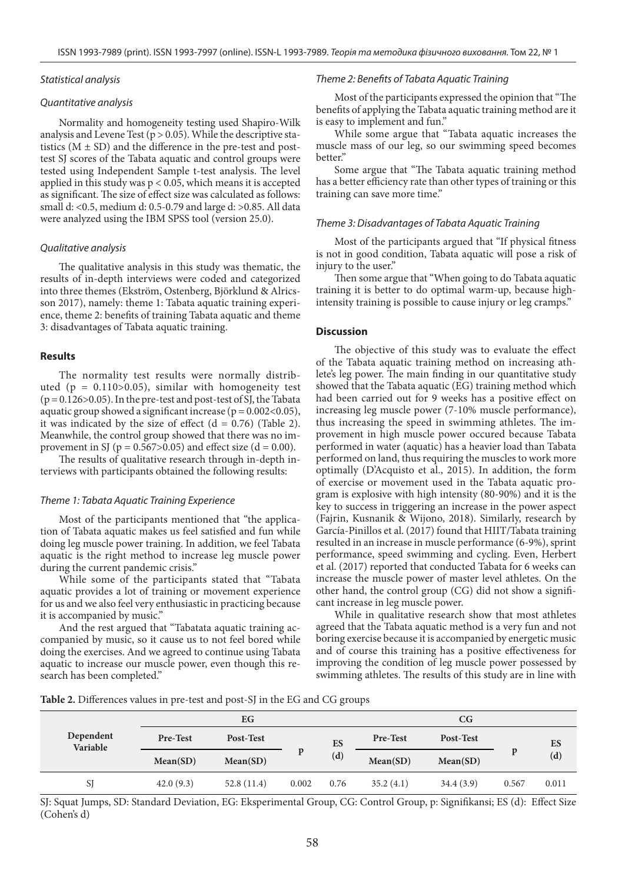#### *Statistical analysis*

#### *Quantitative analysis*

Normality and homogeneity testing used Shapiro-Wilk analysis and Levene Test ( $p > 0.05$ ). While the descriptive statistics  $(M \pm SD)$  and the difference in the pre-test and posttest SJ scores of the Tabata aquatic and control groups were tested using Independent Sample t-test analysis. The level applied in this study was  $p < 0.05$ , which means it is accepted as significant. The size of effect size was calculated as follows: small d: <0.5, medium d: 0.5-0.79 and large d: >0.85. All data were analyzed using the IBM SPSS tool (version 25.0).

#### *Qualitative analysis*

The qualitative analysis in this study was thematic, the results of in-depth interviews were coded and categorized into three themes (Ekström, Ostenberg, Björklund & Alricsson 2017), namely: theme 1: Tabata aquatic training experience, theme 2: benefits of training Tabata aquatic and theme 3: disadvantages of Tabata aquatic training.

### **Results**

The normality test results were normally distributed ( $p = 0.110 > 0.05$ ), similar with homogeneity test  $(p = 0.126 > 0.05)$ . In the pre-test and post-test of SJ, the Tabata aquatic group showed a significant increase ( $p = 0.002 < 0.05$ ), it was indicated by the size of effect  $(d = 0.76)$  (Table 2). Meanwhile, the control group showed that there was no improvement in SJ ( $p = 0.567 > 0.05$ ) and effect size ( $d = 0.00$ ).

The results of qualitative research through in-depth interviews with participants obtained the following results:

#### *Theme 1: Tabata Aquatic Training Experience*

Most of the participants mentioned that "the application of Tabata aquatic makes us feel satisfied and fun while doing leg muscle power training. In addition, we feel Tabata aquatic is the right method to increase leg muscle power during the current pandemic crisis."

While some of the participants stated that "Tabata aquatic provides a lot of training or movement experience for us and we also feel very enthusiastic in practicing because it is accompanied by music."

And the rest argued that "Tabatata aquatic training accompanied by music, so it cause us to not feel bored while doing the exercises. And we agreed to continue using Tabata aquatic to increase our muscle power, even though this research has been completed."

#### *Theme 2: Benefits of Tabata Aquatic Training*

Most of the participants expressed the opinion that "The benefits of applying the Tabata aquatic training method are it is easy to implement and fun."

While some argue that "Tabata aquatic increases the muscle mass of our leg, so our swimming speed becomes better."

Some argue that "The Tabata aquatic training method has a better efficiency rate than other types of training or this training can save more time."

#### *Theme 3: Disadvantages of Tabata Aquatic Training*

Most of the participants argued that "If physical fitness is not in good condition, Tabata aquatic will pose a risk of injury to the user."

Then some argue that "When going to do Tabata aquatic training it is better to do optimal warm-up, because highintensity training is possible to cause injury or leg cramps."

#### **Discussion**

The objective of this study was to evaluate the effect of the Tabata aquatic training method on increasing athlete's leg power. The main finding in our quantitative study showed that the Tabata aquatic (EG) training method which had been carried out for 9 weeks has a positive effect on increasing leg muscle power (7-10% muscle performance), thus increasing the speed in swimming athletes. The improvement in high muscle power occured because Tabata performed in water (aquatic) has a heavier load than Tabata performed on land, thus requiring the muscles to work more optimally (D'Acquisto et al., 2015). In addition, the form of exercise or movement used in the Tabata aquatic program is explosive with high intensity (80-90%) and it is the key to success in triggering an increase in the power aspect (Fajrin, Kusnanik & Wijono, 2018). Similarly, research by García-Pinillos et al. (2017) found that HIIT/Tabata training resulted in an increase in muscle performance (6-9%), sprint performance, speed swimming and cycling. Even, Herbert et al. (2017) reported that conducted Tabata for 6 weeks can increase the muscle power of master level athletes. On the other hand, the control group (CG) did not show a significant increase in leg muscle power.

While in qualitative research show that most athletes agreed that the Tabata aquatic method is a very fun and not boring exercise because it is accompanied by energetic music and of course this training has a positive effectiveness for improving the condition of leg muscle power possessed by swimming athletes. The results of this study are in line with

**Table 2.** Differences values in pre-test and post-SJ in the EG and CG groups

|                       | EG        |            |       |           | CG        |           |       |           |
|-----------------------|-----------|------------|-------|-----------|-----------|-----------|-------|-----------|
| Dependent<br>Variable | Pre-Test  | Post-Test  | p     | ES<br>(d) | Pre-Test  | Post-Test | p     | ES<br>(d) |
|                       | Mean(SD)  | Mean(SD)   |       |           | Mean(SD)  | Mean(SD)  |       |           |
| SJ                    | 42.0(9.3) | 52.8(11.4) | 0.002 | 0.76      | 35.2(4.1) | 34.4(3.9) | 0.567 | 0.011     |

SJ: Squat Jumps, SD: Standard Deviation, EG: Eksperimental Group, CG: Control Group, p: Signifikansi; ES (d): Effect Size (Cohen's d)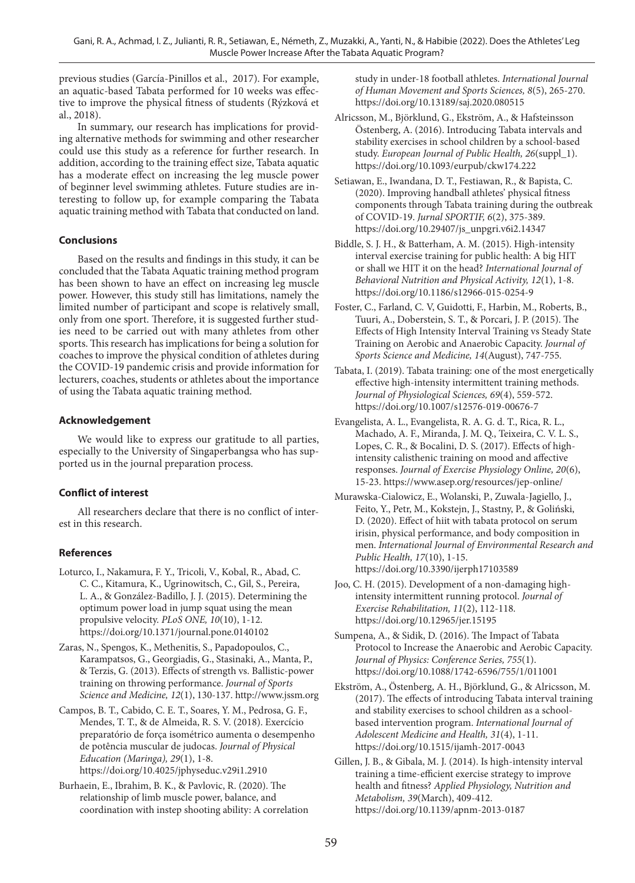previous studies (García-Pinillos et al., 2017). For example, an aquatic-based Tabata performed for 10 weeks was effective to improve the physical fitness of students (Rýzková et al., 2018).

In summary, our research has implications for providing alternative methods for swimming and other researcher could use this study as a reference for further research. In addition, according to the training effect size, Tabata aquatic has a moderate effect on increasing the leg muscle power of beginner level swimming athletes. Future studies are interesting to follow up, for example comparing the Tabata aquatic training method with Tabata that conducted on land.

## **Conclusions**

Based on the results and findings in this study, it can be concluded that the Tabata Aquatic training method program has been shown to have an effect on increasing leg muscle power. However, this study still has limitations, namely the limited number of participant and scope is relatively small, only from one sport. Therefore, it is suggested further studies need to be carried out with many athletes from other sports. This research has implications for being a solution for coaches to improve the physical condition of athletes during the COVID-19 pandemic crisis and provide information for lecturers, coaches, students or athletes about the importance of using the Tabata aquatic training method.

## **Acknowledgement**

We would like to express our gratitude to all parties, especially to the University of Singaperbangsa who has supported us in the journal preparation process.

## **Conflict of interest**

All researchers declare that there is no conflict of interest in this research.

## **References**

- Loturco, I., Nakamura, F. Y., Tricoli, V., Kobal, R., Abad, C. C. C., Kitamura, K., Ugrinowitsch, C., Gil, S., Pereira, L. A., & González-Badillo, J. J. (2015). Determining the optimum power load in jump squat using the mean propulsive velocity. *PLoS ONE, 10*(10), 1-12. https://doi.org/10.1371/journal.pone.0140102
- Zaras, N., Spengos, K., Methenitis, S., Papadopoulos, C., Karampatsos, G., Georgiadis, G., Stasinaki, A., Manta, P., & Terzis, G. (2013). Effects of strength vs. Ballistic-power training on throwing performance. *Journal of Sports Science and Medicine, 12*(1), 130-137. http://www.jssm.org
- Campos, B. T., Cabido, C. E. T., Soares, Y. M., Pedrosa, G. F., Mendes, T. T., & de Almeida, R. S. V. (2018). Exercício preparatório de força isométrico aumenta o desempenho de potência muscular de judocas. *Journal of Physical Education (Maringa), 29*(1), 1-8. https://doi.org/10.4025/jphyseduc.v29i1.2910
- Burhaein, E., Ibrahim, B. K., & Pavlovic, R. (2020). The relationship of limb muscle power, balance, and coordination with instep shooting ability: A correlation

study in under-18 football athletes. *International Journal of Human Movement and Sports Sciences, 8*(5), 265-270. https://doi.org/10.13189/saj.2020.080515

- Alricsson, M., Björklund, G., Ekström, A., & Hafsteinsson Östenberg, A. (2016). Introducing Tabata intervals and stability exercises in school children by a school-based study. *European Journal of Public Health, 26*(suppl\_1). https://doi.org/10.1093/eurpub/ckw174.222
- Setiawan, E., Iwandana, D. T., Festiawan, R., & Bapista, C. (2020). Improving handball athletes' physical fitness components through Tabata training during the outbreak of COVID-19. *Jurnal SPORTIF, 6*(2), 375-389. https://doi.org/10.29407/js\_unpgri.v6i2.14347
- Biddle, S. J. H., & Batterham, A. M. (2015). High-intensity interval exercise training for public health: A big HIT or shall we HIT it on the head? *International Journal of Behavioral Nutrition and Physical Activity, 12*(1), 1-8. https://doi.org/10.1186/s12966-015-0254-9
- Foster, C., Farland, C. V, Guidotti, F., Harbin, M., Roberts, B., Tuuri, A., Doberstein, S. T., & Porcari, J. P. (2015). The Effects of High Intensity Interval Training vs Steady State Training on Aerobic and Anaerobic Capacity. *Journal of Sports Science and Medicine, 14*(August), 747-755.
- Tabata, I. (2019). Tabata training: one of the most energetically effective high-intensity intermittent training methods. *Journal of Physiological Sciences, 69*(4), 559-572. https://doi.org/10.1007/s12576-019-00676-7
- Evangelista, A. L., Evangelista, R. A. G. d. T., Rica, R. L., Machado, A. F., Miranda, J. M. Q., Teixeira, C. V. L. S., Lopes, C. R., & Bocalini, D. S. (2017). Effects of highintensity calisthenic training on mood and affective responses. *Journal of Exercise Physiology Online, 20*(6), 15-23. https://www.asep.org/resources/jep-online/
- Murawska-Cialowicz, E., Wolanski, P., Zuwala-Jagiello, J., Feito, Y., Petr, M., Kokstejn, J., Stastny, P., & Goliński, D. (2020). Effect of hiit with tabata protocol on serum irisin, physical performance, and body composition in men. *International Journal of Environmental Research and Public Health, 17*(10), 1-15. https://doi.org/10.3390/ijerph17103589
- Joo, C. H. (2015). Development of a non-damaging highintensity intermittent running protocol. *Journal of Exercise Rehabilitation, 11*(2), 112-118. https://doi.org/10.12965/jer.15195
- Sumpena, A., & Sidik, D. (2016). The Impact of Tabata Protocol to Increase the Anaerobic and Aerobic Capacity. *Journal of Physics: Conference Series, 755*(1). https://doi.org/10.1088/1742-6596/755/1/011001
- Ekström, A., Östenberg, A. H., Björklund, G., & Alricsson, M. (2017). The effects of introducing Tabata interval training and stability exercises to school children as a schoolbased intervention program. *International Journal of Adolescent Medicine and Health, 31*(4), 1-11. https://doi.org/10.1515/ijamh-2017-0043
- Gillen, J. B., & Gibala, M. J. (2014). Is high-intensity interval training a time-efficient exercise strategy to improve health and fitness? *Applied Physiology, Nutrition and Metabolism, 39*(March), 409-412. https://doi.org/10.1139/apnm-2013-0187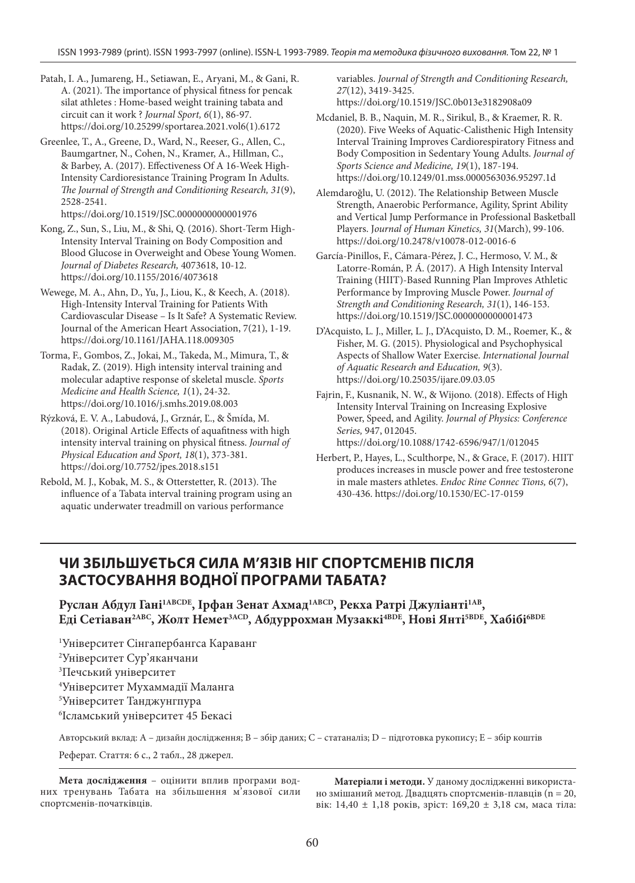Patah, I. A., Jumareng, H., Setiawan, E., Aryani, M., & Gani, R. A. (2021). The importance of physical fitness for pencak silat athletes : Home-based weight training tabata and circuit can it work ? *Journal Sport, 6*(1), 86-97. https://doi.org/10.25299/sportarea.2021.vol6(1).6172

Greenlee, T., A., Greene, D., Ward, N., Reeser, G., Allen, C., Baumgartner, N., Cohen, N., Kramer, A., Hillman, C., & Barbey, A. (2017). Effectiveness Of A 16-Week High-Intensity Cardioresistance Training Program In Adults. *The Journal of Strength and Conditioning Research, 31*(9), 2528-2541.

https://doi.org/10.1519/JSC.0000000000001976

- Kong, Z., Sun, S., Liu, M., & Shi, Q. (2016). Short-Term High-Intensity Interval Training on Body Composition and Blood Glucose in Overweight and Obese Young Women. *Journal of Diabetes Research,* 4073618, 10-12. https://doi.org/10.1155/2016/4073618
- Wewege, M. A., Ahn, D., Yu, J., Liou, K., & Keech, A. (2018). High-Intensity Interval Training for Patients With Cardiovascular Disease – Is It Safe? A Systematic Review. Journal of the American Heart Association, 7(21), 1-19. https://doi.org/10.1161/JAHA.118.009305
- Torma, F., Gombos, Z., Jokai, M., Takeda, M., Mimura, T., & Radak, Z. (2019). High intensity interval training and molecular adaptive response of skeletal muscle. *Sports Medicine and Health Science, 1*(1), 24-32. https://doi.org/10.1016/j.smhs.2019.08.003
- Rýzková, E. V. A., Labudová, J., Grznár, Ľ., & Šmída, M. (2018). Original Article Effects of aquafitness with high intensity interval training on physical fitness. *Journal of Physical Education and Sport, 18*(1), 373-381. https://doi.org/10.7752/jpes.2018.s151
- Rebold, M. J., Kobak, M. S., & Otterstetter, R. (2013). The influence of a Tabata interval training program using an aquatic underwater treadmill on various performance

variables. *Journal of Strength and Conditioning Research, 27*(12), 3419-3425. https://doi.org/10.1519/JSC.0b013e3182908a09

- Mcdaniel, B. B., Naquin, M. R., Sirikul, B., & Kraemer, R. R. (2020). Five Weeks of Aquatic-Calisthenic High Intensity Interval Training Improves Cardiorespiratory Fitness and Body Composition in Sedentary Young Adults. *Journal of Sports Science and Medicine, 19*(1), 187-194. https://doi.org/10.1249/01.mss.0000563036.95297.1d
- Alemdaroğlu, U. (2012). The Relationship Between Muscle Strength, Anaerobic Performance, Agility, Sprint Ability and Vertical Jump Performance in Professional Basketball Players. J*ournal of Human Kinetics, 31*(March), 99-106. https://doi.org/10.2478/v10078-012-0016-6
- García-Pinillos, F., Cámara-Pérez, J. C., Hermoso, V. M., & Latorre-Román, P. Á. (2017). A High Intensity Interval Training (HIIT)-Based Running Plan Improves Athletic Performance by Improving Muscle Power. *Journal of Strength and Conditioning Research, 31*(1), 146-153. https://doi.org/10.1519/JSC.0000000000001473
- D'Acquisto, L. J., Miller, L. J., D'Acquisto, D. M., Roemer, K., & Fisher, M. G. (2015). Physiological and Psychophysical Aspects of Shallow Water Exercise. *International Journal of Aquatic Research and Education, 9*(3). https://doi.org/10.25035/ijare.09.03.05
- Fajrin, F., Kusnanik, N. W., & Wijono. (2018). Effects of High Intensity Interval Training on Increasing Explosive Power, Speed, and Agility. *Journal of Physics: Conference Series,* 947, 012045. https://doi.org/10.1088/1742-6596/947/1/012045
- Herbert, P., Hayes, L., Sculthorpe, N., & Grace, F. (2017). HIIT produces increases in muscle power and free testosterone in male masters athletes. *Endoc Rine Connec Tions, 6*(7), 430-436. https://doi.org/10.1530/EC-17-0159

# **ЧИ ЗБІЛЬШУЄТЬСЯ СИЛА М'ЯЗІВ НІГ СПОРТСМЕНІВ ПІСЛЯ ЗАСТОСУВАННЯ ВОДНОЇ ПРОГРАМИ ТАБАТА?**

Руслан Абдул Гані<sup>1АВСDE</sup>, Ірфан Зенат Ахмад<sup>1АВСD</sup>, Рекха Ратрі Джуліанті<sup>1АВ</sup>, **Еді Сетіаван2ABC, Жолт Немет3ACD, Абдуррохман Музаккі4BDE, Нові Янті5BDE, Хабібі6BDE**

 Університет Сінгапербангса Караванг Університет Сур'яканчани Печський університет Університет Мухаммадії Маланга Університет Танджунгпура Ісламський університет 45 Бекасі

Авторський вклад: A – дизайн дослідження; B – збір даних; C – статаналіз; D – підготовка рукопису; E – збір коштів Реферат. Стаття: 6 с., 2 табл., 28 джерел.

**Мета дослідження** – оцінити вплив програми водних тренувань Табата на збільшення м'язової сили спортсменів-початківців.

**Матеріали і методи.** У даному дослідженні використано змішаний метод. Двадцять спортсменів-плавців (n = 20, вік: 14,40 ± 1,18 років, зріст: 169,20 ± 3,18 см, маса тіла: